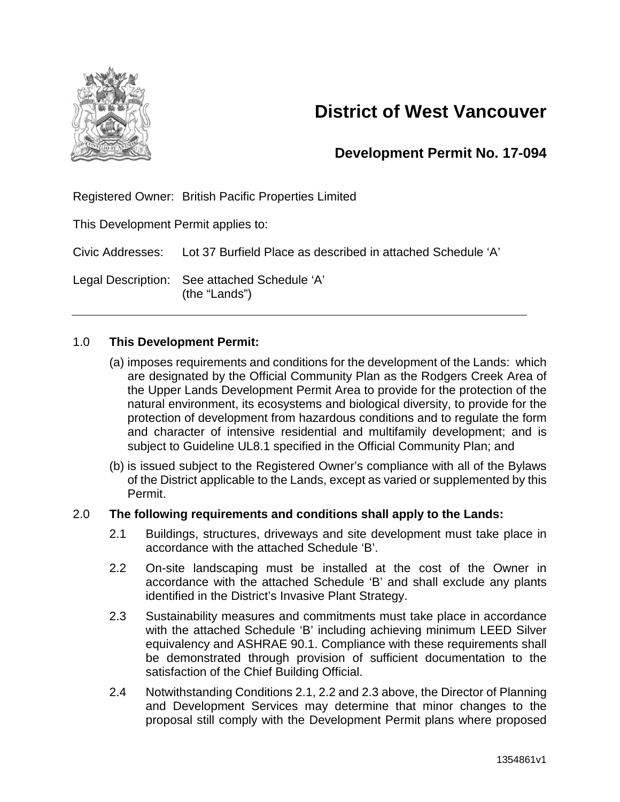

# **District of West Vancouver**

### **Development Permit No. 17-094**

Registered Owner: British Pacific Properties Limited

This Development Permit applies to:

Civic Addresses: Lot 37 Burfield Place as described in attached Schedule 'A'

Legal Description: See attached Schedule 'A' (the "Lands")

#### 1.0 **This Development Permit:**

- (a) imposes requirements and conditions for the development of the Lands: which are designated by the Official Community Plan as the Rodgers Creek Area of the Upper Lands Development Permit Area to provide for the protection of the natural environment, its ecosystems and biological diversity, to provide for the protection of development from hazardous conditions and to regulate the form and character of intensive residential and multifamily development; and is subject to Guideline UL8.1 specified in the Official Community Plan; and
- (b) is issued subject to the Registered Owner's compliance with all of the Bylaws of the District applicable to the Lands, except as varied or supplemented by this Permit.

#### 2.0 **The following requirements and conditions shall apply to the Lands:**

- 2.1 Buildings, structures, driveways and site development must take place in accordance with the attached Schedule 'B'.
- 2.2 On-site landscaping must be installed at the cost of the Owner in accordance with the attached Schedule 'B' and shall exclude any plants identified in the District's Invasive Plant Strategy.
- 2.3 Sustainability measures and commitments must take place in accordance with the attached Schedule 'B' including achieving minimum LEED Silver equivalency and ASHRAE 90.1. Compliance with these requirements shall be demonstrated through provision of sufficient documentation to the satisfaction of the Chief Building Official.
- 2.4 Notwithstanding Conditions 2.1, 2.2 and 2.3 above, the Director of Planning and Development Services may determine that minor changes to the proposal still comply with the Development Permit plans where proposed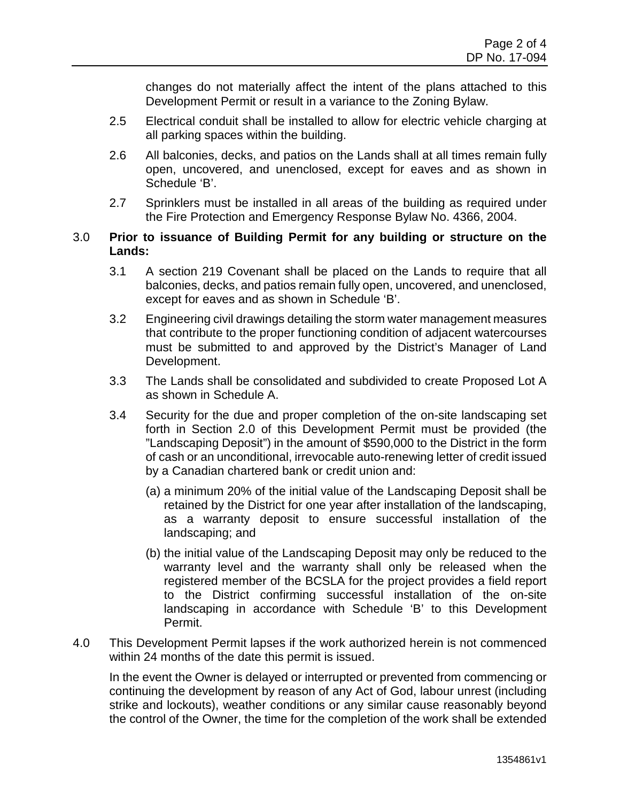changes do not materially affect the intent of the plans attached to this Development Permit or result in a variance to the Zoning Bylaw.

- 2.5 Electrical conduit shall be installed to allow for electric vehicle charging at all parking spaces within the building.
- 2.6 All balconies, decks, and patios on the Lands shall at all times remain fully open, uncovered, and unenclosed, except for eaves and as shown in Schedule 'B'.
- 2.7 Sprinklers must be installed in all areas of the building as required under the Fire Protection and Emergency Response Bylaw No. 4366, 2004.

#### 3.0 **Prior to issuance of Building Permit for any building or structure on the Lands:**

- 3.1 A section 219 Covenant shall be placed on the Lands to require that all balconies, decks, and patios remain fully open, uncovered, and unenclosed, except for eaves and as shown in Schedule 'B'.
- 3.2 Engineering civil drawings detailing the storm water management measures that contribute to the proper functioning condition of adjacent watercourses must be submitted to and approved by the District's Manager of Land Development.
- 3.3 The Lands shall be consolidated and subdivided to create Proposed Lot A as shown in Schedule A.
- 3.4 Security for the due and proper completion of the on-site landscaping set forth in Section 2.0 of this Development Permit must be provided (the "Landscaping Deposit") in the amount of \$590,000 to the District in the form of cash or an unconditional, irrevocable auto-renewing letter of credit issued by a Canadian chartered bank or credit union and:
	- (a) a minimum 20% of the initial value of the Landscaping Deposit shall be retained by the District for one year after installation of the landscaping, as a warranty deposit to ensure successful installation of the landscaping; and
	- (b) the initial value of the Landscaping Deposit may only be reduced to the warranty level and the warranty shall only be released when the registered member of the BCSLA for the project provides a field report to the District confirming successful installation of the on-site landscaping in accordance with Schedule 'B' to this Development Permit.
- 4.0 This Development Permit lapses if the work authorized herein is not commenced within 24 months of the date this permit is issued.

In the event the Owner is delayed or interrupted or prevented from commencing or continuing the development by reason of any Act of God, labour unrest (including strike and lockouts), weather conditions or any similar cause reasonably beyond the control of the Owner, the time for the completion of the work shall be extended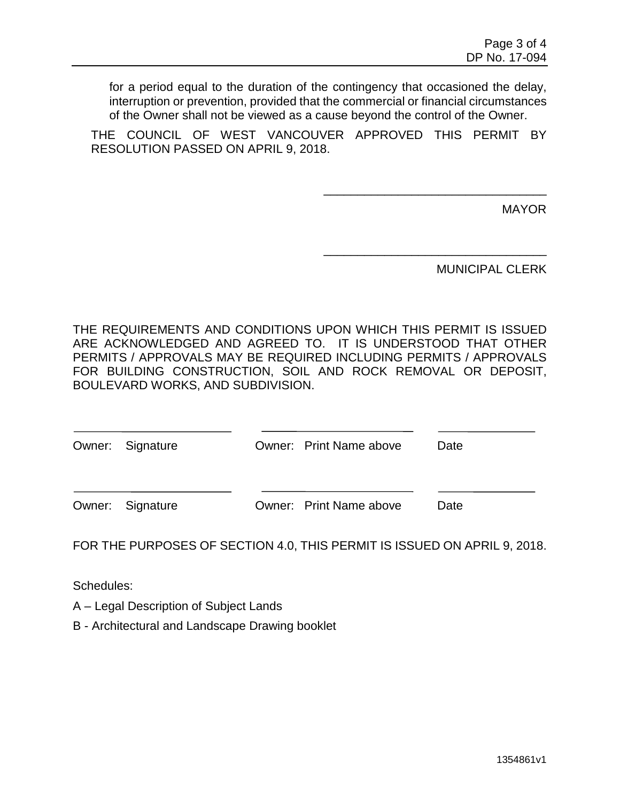for a period equal to the duration of the contingency that occasioned the delay, interruption or prevention, provided that the commercial or financial circumstances of the Owner shall not be viewed as a cause beyond the control of the Owner.

THE COUNCIL OF WEST VANCOUVER APPROVED THIS PERMIT BY RESOLUTION PASSED ON APRIL 9, 2018.

MAYOR

MUNICIPAL CLERK

\_\_\_\_\_\_\_\_\_\_\_\_\_\_\_\_\_\_\_\_\_\_\_\_\_\_\_\_\_\_\_\_\_

\_\_\_\_\_\_\_\_\_\_\_\_\_\_\_\_\_\_\_\_\_\_\_\_\_\_\_\_\_\_\_\_\_

THE REQUIREMENTS AND CONDITIONS UPON WHICH THIS PERMIT IS ISSUED ARE ACKNOWLEDGED AND AGREED TO. IT IS UNDERSTOOD THAT OTHER PERMITS / APPROVALS MAY BE REQUIRED INCLUDING PERMITS / APPROVALS FOR BUILDING CONSTRUCTION, SOIL AND ROCK REMOVAL OR DEPOSIT, BOULEVARD WORKS, AND SUBDIVISION.

| Owner: Signature | Owner: Print Name above | Date |
|------------------|-------------------------|------|
|                  |                         |      |
| Owner: Signature | Owner: Print Name above | Date |

FOR THE PURPOSES OF SECTION 4.0, THIS PERMIT IS ISSUED ON APRIL 9, 2018.

Schedules:

A – Legal Description of Subject Lands

B - Architectural and Landscape Drawing booklet